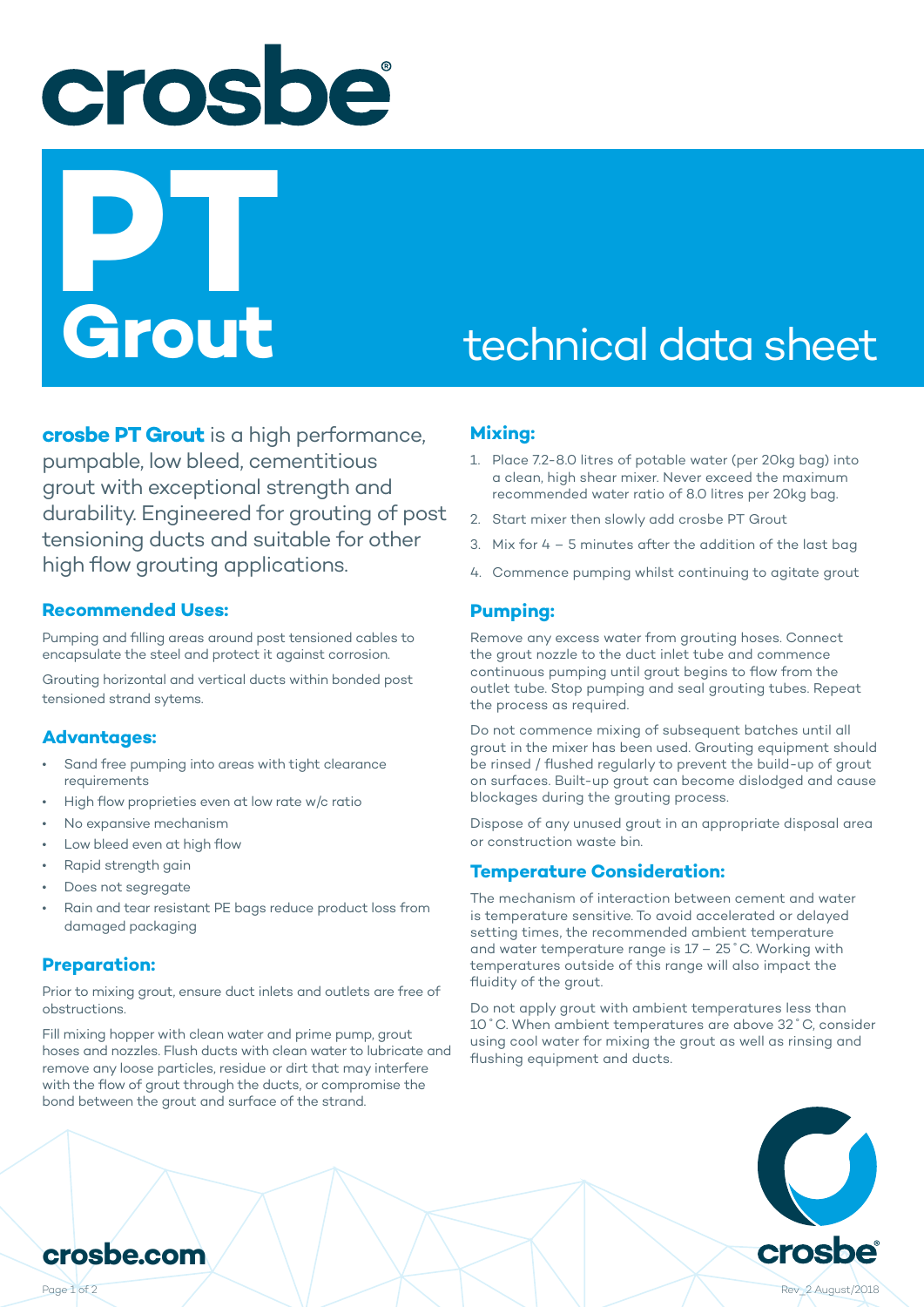crosbe **PTT**<br>Grout

# technical data sheet

**crosbe PT Grout** is a high performance, pumpable, low bleed, cementitious grout with exceptional strength and durability. Engineered for grouting of post tensioning ducts and suitable for other high flow grouting applications.

#### **Recommended Uses:**

Pumping and filling areas around post tensioned cables to encapsulate the steel and protect it against corrosion.

Grouting horizontal and vertical ducts within bonded post tensioned strand sytems.

#### **Advantages:**

- Sand free pumping into areas with tight clearance requirements
- High flow proprieties even at low rate w/c ratio
- No expansive mechanism
- Low bleed even at high flow
- Rapid strength gain
- Does not segregate
- Rain and tear resistant PE bags reduce product loss from damaged packaging

#### **Preparation:**

Prior to mixing grout, ensure duct inlets and outlets are free of obstructions.

Fill mixing hopper with clean water and prime pump, grout hoses and nozzles. Flush ducts with clean water to lubricate and remove any loose particles, residue or dirt that may interfere with the flow of grout through the ducts, or compromise the bond between the grout and surface of the strand.

#### **Mixing:**

- 1. Place 7.2-8.0 litres of potable water (per 20kg bag) into a clean, high shear mixer. Never exceed the maximum recommended water ratio of 8.0 litres per 20kg bag.
- 2. Start mixer then slowly add crosbe PT Grout
- 3. Mix for 4 5 minutes after the addition of the last bag
- 4. Commence pumping whilst continuing to agitate grout

#### **Pumping:**

Remove any excess water from grouting hoses. Connect the grout nozzle to the duct inlet tube and commence continuous pumping until grout begins to flow from the outlet tube. Stop pumping and seal grouting tubes. Repeat the process as required.

Do not commence mixing of subsequent batches until all grout in the mixer has been used. Grouting equipment should be rinsed / flushed regularly to prevent the build-up of grout on surfaces. Built-up grout can become dislodged and cause blockages during the grouting process.

Dispose of any unused grout in an appropriate disposal area or construction waste bin.

#### **Temperature Consideration:**

The mechanism of interaction between cement and water is temperature sensitive. To avoid accelerated or delayed setting times, the recommended ambient temperature and water temperature range is 17 – 25˚C. Working with temperatures outside of this range will also impact the fluidity of the grout.

Do not apply grout with ambient temperatures less than 10˚C. When ambient temperatures are above 32˚C, consider using cool water for mixing the grout as well as rinsing and flushing equipment and ducts.



**crosbe.com**